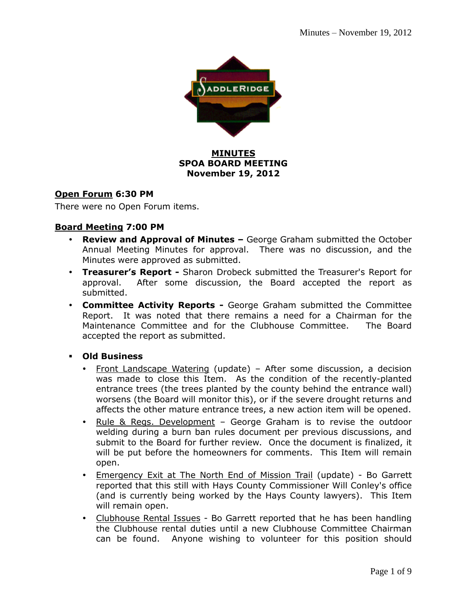

#### **MINUTES SPOA BOARD MEETING November 19, 2012**

#### **Open Forum 6:30 PM**

There were no Open Forum items.

#### **Board Meeting 7:00 PM**

- **Review and Approval of Minutes –** George Graham submitted the October Annual Meeting Minutes for approval. There was no discussion, and the Minutes were approved as submitted.
- **Treasurer's Report -** Sharon Drobeck submitted the Treasurer's Report for approval. After some discussion, the Board accepted the report as submitted.
- **Committee Activity Reports -** George Graham submitted the Committee Report. It was noted that there remains a need for a Chairman for the Maintenance Committee and for the Clubhouse Committee. The Board accepted the report as submitted.
- **Old Business** 
	- Front Landscape Watering (update) After some discussion, a decision was made to close this Item. As the condition of the recently-planted entrance trees (the trees planted by the county behind the entrance wall) worsens (the Board will monitor this), or if the severe drought returns and affects the other mature entrance trees, a new action item will be opened.
	- Rule & Regs. Development George Graham is to revise the outdoor welding during a burn ban rules document per previous discussions, and submit to the Board for further review. Once the document is finalized, it will be put before the homeowners for comments. This Item will remain open.
	- Emergency Exit at The North End of Mission Trail (update) Bo Garrett reported that this still with Hays County Commissioner Will Conley's office (and is currently being worked by the Hays County lawyers). This Item will remain open.
	- Clubhouse Rental Issues Bo Garrett reported that he has been handling the Clubhouse rental duties until a new Clubhouse Committee Chairman can be found. Anyone wishing to volunteer for this position should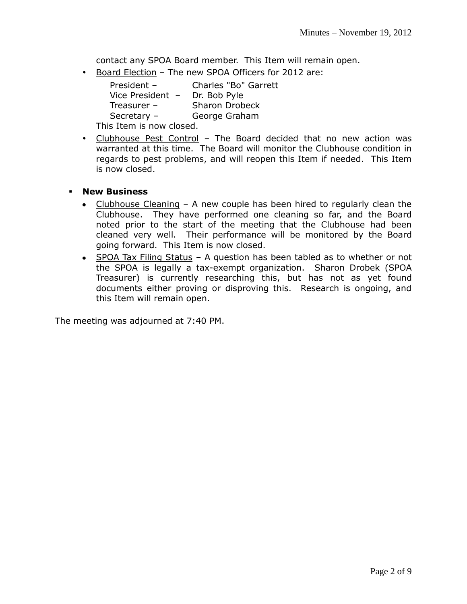contact any SPOA Board member. This Item will remain open.

• Board Election - The new SPOA Officers for 2012 are:

| President -              | Charles "Bo" Garrett  |  |  |  |  |
|--------------------------|-----------------------|--|--|--|--|
| Vice President -         | Dr. Bob Pyle          |  |  |  |  |
| Treasurer $-$            | <b>Sharon Drobeck</b> |  |  |  |  |
| Secretary $-$            | George Graham         |  |  |  |  |
| This Item is now closed. |                       |  |  |  |  |

 Clubhouse Pest Control – The Board decided that no new action was warranted at this time. The Board will monitor the Clubhouse condition in regards to pest problems, and will reopen this Item if needed. This Item is now closed.

#### **New Business**

- Clubhouse Cleaning A new couple has been hired to regularly clean the Clubhouse. They have performed one cleaning so far, and the Board noted prior to the start of the meeting that the Clubhouse had been cleaned very well. Their performance will be monitored by the Board going forward. This Item is now closed.
- SPOA Tax Filing Status A question has been tabled as to whether or not the SPOA is legally a tax-exempt organization. Sharon Drobek (SPOA Treasurer) is currently researching this, but has not as yet found documents either proving or disproving this. Research is ongoing, and this Item will remain open.

The meeting was adjourned at 7:40 PM.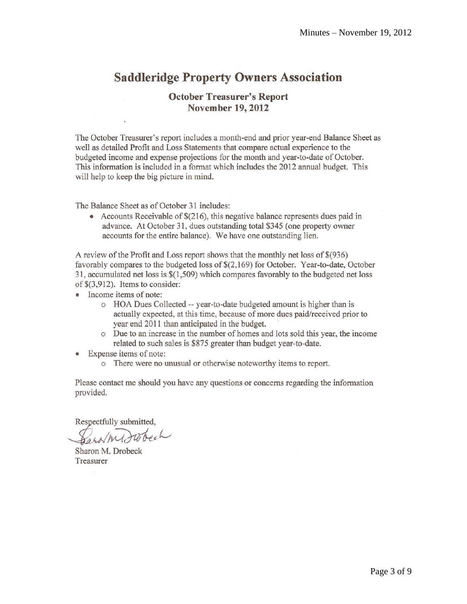## **Saddleridge Property Owners Association**

#### **October Treasurer's Report November 19, 2012**

The October Treasurer's report includes a month-end and prior year-end Balance Sheet as well as detailed Profit and Loss Statements that compare actual experience to the budgeted income and expense projections for the month and year-to-date of October. This information is included in a format which includes the 2012 annual budget. This will help to keep the big picture in mind.

The Balance Sheet as of October 31 includes:

• Accounts Receivable of  $$(216)$ , this negative balance represents dues paid in advance. At October 31, dues outstanding total \$345 (one property owner accounts for the entire balance). We have one outstanding lien.

A review of the Profit and Loss report shows that the monthly net loss of \$(936) favorably compares to the budgeted loss of \$(2,169) for October. Year-to-date, October 31, accumulated net loss is  $\$(1,509)$  which compares favorably to the budgeted net loss of  $\$(3,912)$ . Items to consider:

- Income items of note:
	- o HOA Dues Collected -- year-to-date budgeted amount is higher than is actually expected, at this time, because of more dues paid/received prior to year end 2011 than anticipated in the budget.
	- o Due to an increase in the number of homes and lots sold this year, the income related to such sales is \$875 greater than budget year-to-date.
- Expense items of note:
	- o There were no unusual or otherwise noteworthy items to report.

Please contact me should you have any questions or concerns regarding the information provided.

Respectfully submitted,

Sharon M. Drobeck Treasurer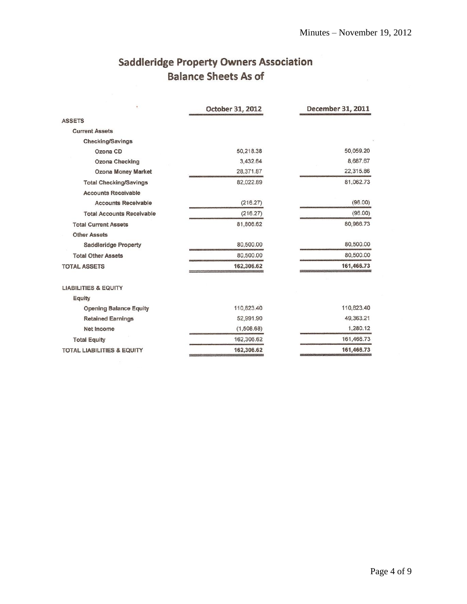## **Saddleridge Property Owners Association Balance Sheets As of**

| <b>ASSETS</b>                         |            |            |
|---------------------------------------|------------|------------|
| <b>Current Assets</b>                 |            |            |
| Checking/Savings                      |            |            |
| Ozona CD                              | 50,218.38  | 50,059.20  |
| <b>Ozona Checking</b>                 | 3.432.64   | 8,687.67   |
| Ozona Money Market                    | 28,371.87  | 22,315.86  |
| <b>Total Checking/Savings</b>         | 82,022.89  | 81,062.73  |
| <b>Accounts Receivable</b>            |            |            |
| <b>Accounts Receivable</b>            | (216.27)   | (96.00)    |
| <b>Total Accounts Receivable</b>      | (216.27)   | (96.00)    |
| <b>Total Current Assets</b>           | 81,806.62  | 80,966.73  |
| <b>Other Assets</b>                   |            |            |
| <b>Saddleridge Property</b>           | 80,500.00  | 80,500.00  |
| <b>Total Other Assets</b>             | 80,500.00  | 80,500.00  |
| <b>TOTAL ASSETS</b>                   | 162,306.62 | 161,466.73 |
| <b>LIABILITIES &amp; EQUITY</b>       |            |            |
| Equity                                |            |            |
| <b>Opening Balance Equity</b>         | 110,823.40 | 110,823.40 |
| <b>Retained Earnings</b>              | 52,991.90  | 49,363.21  |
| Net Income                            | (1,508.68) | 1,280.12   |
| <b>Total Equity</b>                   | 162,306.62 | 161,466.73 |
| <b>TOTAL LIABILITIES &amp; EQUITY</b> | 162,306.62 | 161,466.73 |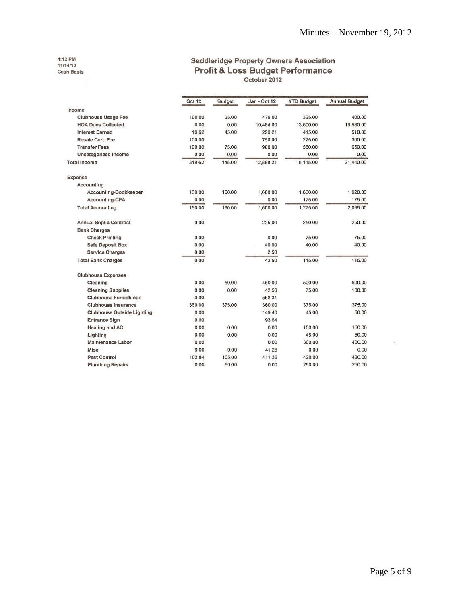4:12 PM<br>11/14/12<br>Cash Basis

## **Saddleridge Property Owners Association** Profit & Loss Budget Performance<br>
October 2012

|                                   | Oct 12 | <b>Budget</b> | Jan - Oct 12 | <b>YTD Budget</b> | <b>Annual Budget</b> |
|-----------------------------------|--------|---------------|--------------|-------------------|----------------------|
| Income                            |        |               |              |                   |                      |
| <b>Clubhouse Usage Fee</b>        | 100.00 | 25.00         | 475.00       | 325.00            | 400.00               |
| <b>HOA Dues Collected</b>         | 0.00   | 0.00          | 10,464.00    | 13,600.00         | 19,580.00            |
| <b>Interest Earned</b>            | 19.62  | 45.00         | 299.21       | 415.00            | 510.00               |
| Resale Cert, Fee                  | 100.00 |               | 750.00       | 225.00            | 300.00               |
| <b>Transfer Fees</b>              | 100.00 | 75.00         | 900.00       | 550.00            | 650.00               |
| Uncategorized Income              | 0.00   | 0.00          | 0.00         | 0.00              | 0.00                 |
| <b>Total Income</b>               | 319.62 | 145.00        | 12,888.21    | 15,115.00         | 21,440.00            |
| Expense                           |        |               |              |                   |                      |
| Accounting                        |        |               |              |                   |                      |
| Accounting-Bookkeeper             | 160.00 | 160.00        | 1,600.00     | 1,600.00          | 1,920.00             |
| <b>Accounting-CPA</b>             | 0.00   |               | 0.00         | 175.00            | 175.00               |
| <b>Total Accounting</b>           | 160.00 | 160.00        | 1,600.00     | 1,775.00          | 2,095.00             |
| <b>Annual Septic Contract</b>     | 0.00   |               | 225.00       | 250.00            | 250.00               |
| <b>Bank Charges</b>               |        |               |              |                   |                      |
| <b>Check Printing</b>             | 0.00   |               | 0.00         | 75.00             | 75.00                |
| <b>Safe Deposit Box</b>           | 0.00   |               | 40.00        | 40.00             | 40.00                |
| <b>Service Charges</b>            | 0.00   |               | 2.50         |                   |                      |
| <b>Total Bank Charges</b>         | 0.00   |               | 42.50        | 115.00            | 115.00               |
| <b>Clubhouse Expenses</b>         |        |               |              |                   |                      |
| Cleaning                          | 0.00   | 50.00         | 450.00       | 500.00            | 600.00               |
| <b>Cleaning Supplies</b>          | 0.00   | 0.00          | 42.50        | 75.00             | 100.00               |
| <b>Clubhouse Furnishings</b>      | 0.00   |               | 558.31       |                   |                      |
| <b>Clubhouse insurance</b>        | 360.00 | 375.00        | 360.00       | 375.00            | 375.00               |
| <b>Clubhouse Outside Lighting</b> | 0.00   |               | 149.40       | 45.00             | 50.00                |
| <b>Entrance Sign</b>              | 0.00   |               | 93.64        |                   |                      |
| <b>Heating and AC</b>             | 0.00   | 0.00          | 0.00         | 150.00            | 150.00               |
| Lighting                          | 0.00   | 0.00          | 0.00         | 45.00             | 50.00                |
| <b>Maintenance Labor</b>          | 0.00   |               | 0.00         | 300.00            | 400.00               |
| <b>Misc</b>                       | 9.00   | 0.00          | 41.28        | 0.00              | 0.00                 |
| <b>Pest Control</b>               | 102.84 | 105.00        | 411.36       | 420.00            | 420.00               |
| <b>Plumbing Repairs</b>           | 0.00   | 50.00         | 0.00         | 250.00            | 250.00               |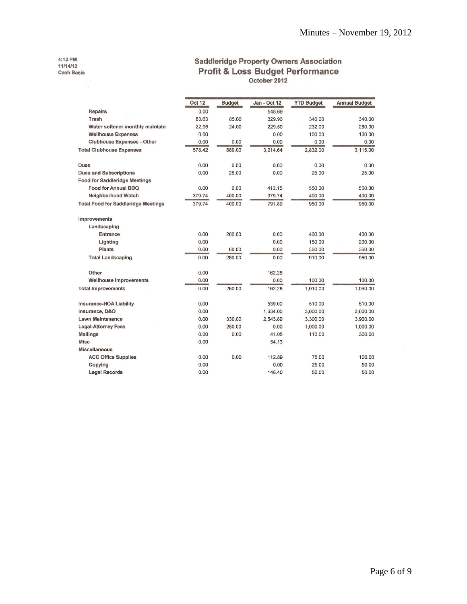4:12 PM<br>11/14/12<br>Cash Basis

## **Saddleridge Property Owners Association** Profit & Loss Budget Performance<br>
October 2012

|                                            | Oct 12 | <b>Budget</b> | Jan - Oct 12 | <b>YTD Budget</b> | <b>Annual Budget</b> |
|--------------------------------------------|--------|---------------|--------------|-------------------|----------------------|
| Repairs                                    | 0.00   |               | 548.69       |                   |                      |
| Trash                                      | 83.63  | 85.00         | 329.96       | 340.00            | 340.00               |
| Water softener monthly maintain            | 22.95  | 24.00         | 229.50       | 232.00            | 280.00               |
| <b>Wellhouse Expenses</b>                  | 0.00   |               | 0.00         | 100.00            | 100.00               |
| <b>Clubhouse Expenses - Other</b>          | 0.00   | 0.00          | 0.00         | 0.00              | 0.00                 |
| <b>Total Clubhouse Expenses</b>            | 578.42 | 689.00        | 3,214.64     | 2,832.00          | 3,115.00             |
| Dues                                       | 0.00   | 0.00          | 0.00         | 0.00              | 0.00                 |
| <b>Dues and Subscriptions</b>              | 0.00   | 25.00         | 0.00         | 25.00             | 25.00                |
| <b>Food for Saddleridge Meetings</b>       |        |               |              |                   |                      |
| Food for Annual BBQ                        | 0.00   | 0.00          | 412.15       | 550.00            | 550.00               |
| Neighborhood Watch                         | 379.74 | 400.00        | 379.74       | 400.00            | 400.00               |
| <b>Total Food for Saddleridge Meetings</b> | 379.74 | 400.00        | 791.89       | 950.00            | 950.00               |
| Improvements                               |        |               |              |                   |                      |
| Landscaping                                |        |               |              |                   |                      |
| Entrance                                   | 0.00   | 200.00        | 0.00         | 400.00            | 400.00               |
| Lighting                                   | 0.00   |               | 0.00         | 150.00            | 200.00               |
| Plants                                     | 0.00   | 60.00         | 0.00         | 360.00            | 360.00               |
| <b>Total Landscaping</b>                   | 0.00   | 260.00        | 0.00         | 910.00            | 960.00               |
| Other                                      | 0.00   |               | 162.28       |                   |                      |
| <b>Wellhouse Improvements</b>              | 0.00   |               | 0.00         | 100.00            | 100.00               |
| <b>Total Improvements</b>                  | 0.00   | 260.00        | 162.28       | 1,010.00          | 1,060.00             |
| Insurance-HOA Liability                    | 0.00   |               | 539.00       | 510.00            | 510.00               |
| Insurance, D&O                             | 0.00   |               | 1.634.00     | 3,000.00          | 3,000.00             |
| <b>Lawn Maintenance</b>                    | 0.00   | 330.00        | 2,543.89     | 3,300.00          | 3,960.00             |
| <b>Legal-Attorney Fees</b>                 | 0.00   | 250.00        | 0.00         | 1,000.00          | 1,000.00             |
| <b>Mailings</b>                            | 0.00   | 0.00          | 41.05        | 110.00            | 300.00               |
| <b>Misc</b>                                | 0.00   |               | 54.13        |                   |                      |
| <b>Miscellaneous</b>                       |        |               |              |                   |                      |
| <b>ACC Office Supplies</b>                 | 0.00   | 0.00          | 112.89       | 75.00             | 100.00               |
| Copying                                    | 0.00   |               | 0.00         | 25.00             | 50.00                |
| <b>Legal Records</b>                       | 0.00   |               | 146.40       | 50.00             | 50.00                |

 $\lambda$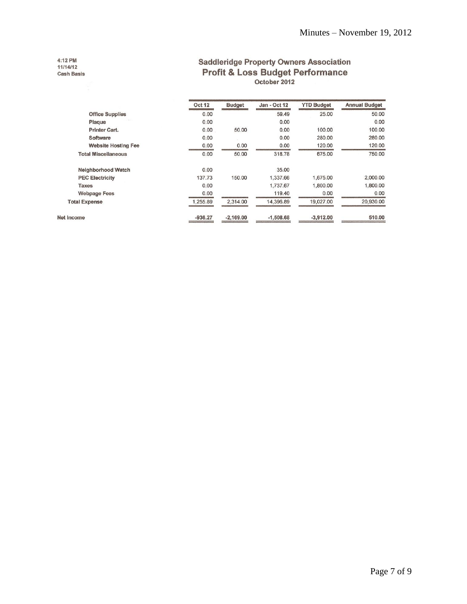#### 4:12 PM 11/14/12 Cash Basis

## **Saddleridge Property Owners Association** Profit & Loss Budget Performance<br>
October 2012

|                            | <b>Oct 12</b> | <b>Budget</b> | Jan - Oct 12 | <b>YTD Budget</b> | <b>Annual Budget</b> |  |
|----------------------------|---------------|---------------|--------------|-------------------|----------------------|--|
| <b>Office Supplies</b>     | 0.00          |               | 59.49        | 25.00             | 50.00                |  |
| Plaque                     | 0.00          |               | 0.00         |                   | 0.00                 |  |
| Printer Cart.              | 0.00          | 50.00         | 0.00         | 100.00            | 100.00               |  |
| Software                   | 0.00          |               | 0.00         | 280.00            | 280.00               |  |
| <b>Website Hosting Fee</b> | 0.00          | 0.00          | 0.00         | 120.00            | 120.00               |  |
| <b>Total Miscellaneous</b> | 0.00          | 50.00         | 318.78       | 675.00            | 750.00               |  |
| Neighborhood Watch         | 0.00          |               | 35.00        |                   |                      |  |
| <b>PEC Electricity</b>     | 137.73        | 150.00        | 1.337.66     | 1.675.00          | 2,000.00             |  |
| Taxes                      | 0.00          |               | 1,737.67     | 1.800.00          | 1,800.00             |  |
| <b>Webpage Fees</b>        | 0.00          |               | 119.40       | 0.00              | 0.00                 |  |
| <b>Total Expense</b>       | 1,255.89      | 2,314.00      | 14,396.89    | 19,027.00         | 20,930.00            |  |
| Net Income                 | $-936.27$     | $-2.169.00$   | $-1,508.68$  | $-3,912.00$       | 510.00               |  |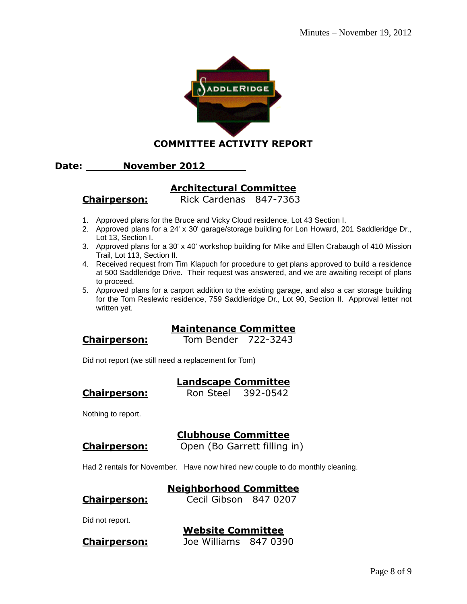

**COMMITTEE ACTIVITY REPORT**

#### **Date: November 2012**

## **Architectural Committee**

**Chairperson:** Rick Cardenas 847-7363

- 1. Approved plans for the Bruce and Vicky Cloud residence, Lot 43 Section I.
- 2. Approved plans for a 24' x 30' garage/storage building for Lon Howard, 201 Saddleridge Dr., Lot 13, Section I.
- 3. Approved plans for a 30' x 40' workshop building for Mike and Ellen Crabaugh of 410 Mission Trail, Lot 113, Section II.
- 4. Received request from Tim Klapuch for procedure to get plans approved to build a residence at 500 Saddleridge Drive. Their request was answered, and we are awaiting receipt of plans to proceed.
- 5. Approved plans for a carport addition to the existing garage, and also a car storage building for the Tom Reslewic residence, 759 Saddleridge Dr., Lot 90, Section II. Approval letter not written yet.

#### **Maintenance Committee**

**Chairperson:** Tom Bender 722-3243

Did not report (we still need a replacement for Tom)

#### **Landscape Committee**

**Chairperson:** Ron Steel 392-0542

Nothing to report.

#### **Clubhouse Committee**

**Chairperson:** Open (Bo Garrett filling in)

Had 2 rentals for November. Have now hired new couple to do monthly cleaning.

#### **Neighborhood Committee**

#### **Chairperson:** Cecil Gibson 847 0207

Did not report.

# **Website Committee**